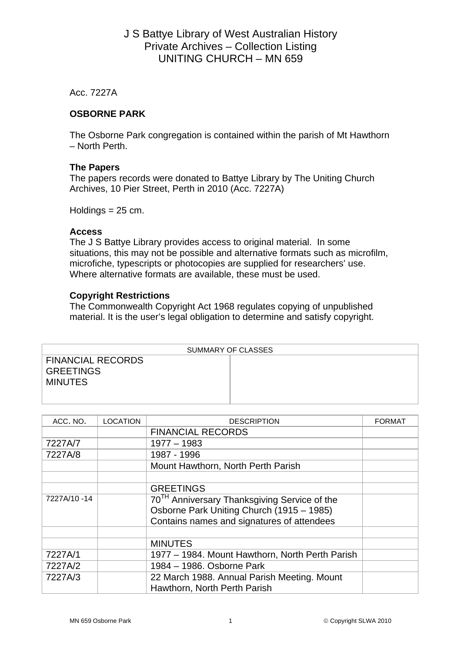# J S Battye Library of West Australian History Private Archives – Collection Listing UNITING CHURCH – MN 659

Acc. 7227A

### **OSBORNE PARK**

The Osborne Park congregation is contained within the parish of Mt Hawthorn – North Perth.

#### **The Papers**

The papers records were donated to Battye Library by The Uniting Church Archives, 10 Pier Street, Perth in 2010 (Acc. 7227A)

Holdings  $= 25$  cm.

#### **Access**

The J S Battye Library provides access to original material. In some situations, this may not be possible and alternative formats such as microfilm, microfiche, typescripts or photocopies are supplied for researchers' use. Where alternative formats are available, these must be used.

### **Copyright Restrictions**

The Commonwealth Copyright Act 1968 regulates copying of unpublished material. It is the user's legal obligation to determine and satisfy copyright.

| SUMMARY OF CLASSES |  |  |  |  |
|--------------------|--|--|--|--|
| FINANCIAL RECORDS  |  |  |  |  |
| <b>GREETINGS</b>   |  |  |  |  |
| <b>MINUTES</b>     |  |  |  |  |
|                    |  |  |  |  |
|                    |  |  |  |  |

| ACC. NO.    | <b>LOCATION</b> | <b>DESCRIPTION</b>                                       | <b>FORMAT</b> |
|-------------|-----------------|----------------------------------------------------------|---------------|
|             |                 | <b>FINANCIAL RECORDS</b>                                 |               |
| 7227A/7     |                 | $1977 - 1983$                                            |               |
| 7227A/8     |                 | 1987 - 1996                                              |               |
|             |                 | Mount Hawthorn, North Perth Parish                       |               |
|             |                 |                                                          |               |
|             |                 | <b>GREETINGS</b>                                         |               |
| 7227A/10-14 |                 | 70 <sup>TH</sup> Anniversary Thanksgiving Service of the |               |
|             |                 | Osborne Park Uniting Church (1915 - 1985)                |               |
|             |                 | Contains names and signatures of attendees               |               |
|             |                 |                                                          |               |
|             |                 | <b>MINUTES</b>                                           |               |
| 7227A/1     |                 | 1977 – 1984. Mount Hawthorn, North Perth Parish          |               |
| 7227A/2     |                 | 1984 - 1986. Osborne Park                                |               |
| 7227A/3     |                 | 22 March 1988. Annual Parish Meeting. Mount              |               |
|             |                 | Hawthorn, North Perth Parish                             |               |